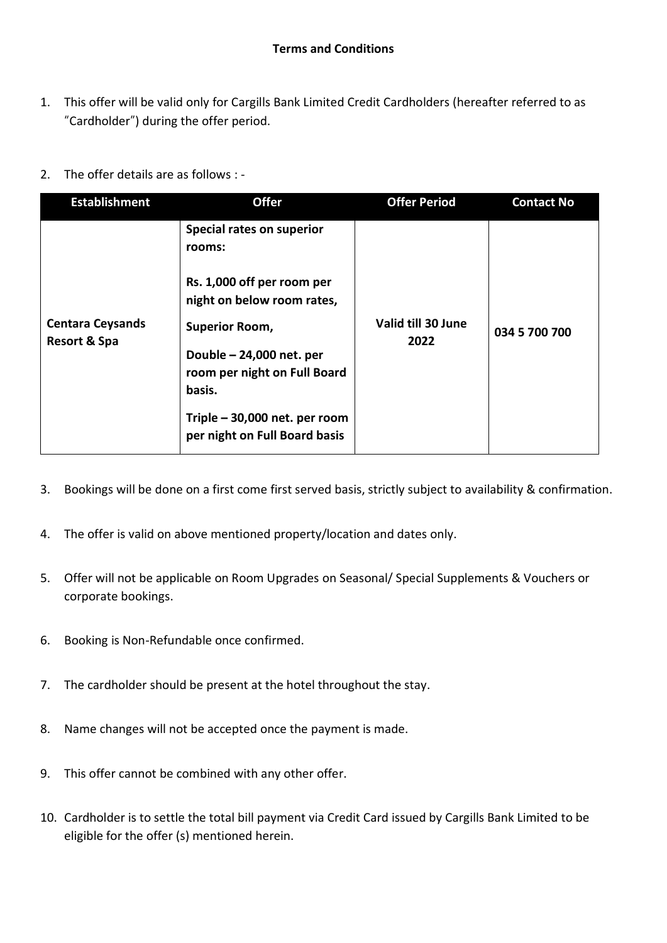- 1. This offer will be valid only for Cargills Bank Limited Credit Cardholders (hereafter referred to as "Cardholder") during the offer period.
- 2. The offer details are as follows : -

| <b>Establishment</b>                               | <b>Offer</b>                                                                                                                                                                                                                                                     | <b>Offer Period</b>        | <b>Contact No</b> |
|----------------------------------------------------|------------------------------------------------------------------------------------------------------------------------------------------------------------------------------------------------------------------------------------------------------------------|----------------------------|-------------------|
| <b>Centara Ceysands</b><br><b>Resort &amp; Spa</b> | Special rates on superior<br>rooms:<br>Rs. 1,000 off per room per<br>night on below room rates,<br><b>Superior Room,</b><br>Double - 24,000 net. per<br>room per night on Full Board<br>basis.<br>Triple - 30,000 net. per room<br>per night on Full Board basis | Valid till 30 June<br>2022 | 034 5 700 700     |
|                                                    |                                                                                                                                                                                                                                                                  |                            |                   |

- 3. Bookings will be done on a first come first served basis, strictly subject to availability & confirmation.
- 4. The offer is valid on above mentioned property/location and dates only.
- 5. Offer will not be applicable on Room Upgrades on Seasonal/ Special Supplements & Vouchers or corporate bookings.
- 6. Booking is Non-Refundable once confirmed.
- 7. The cardholder should be present at the hotel throughout the stay.
- 8. Name changes will not be accepted once the payment is made.
- 9. This offer cannot be combined with any other offer.
- 10. Cardholder is to settle the total bill payment via Credit Card issued by Cargills Bank Limited to be eligible for the offer (s) mentioned herein.